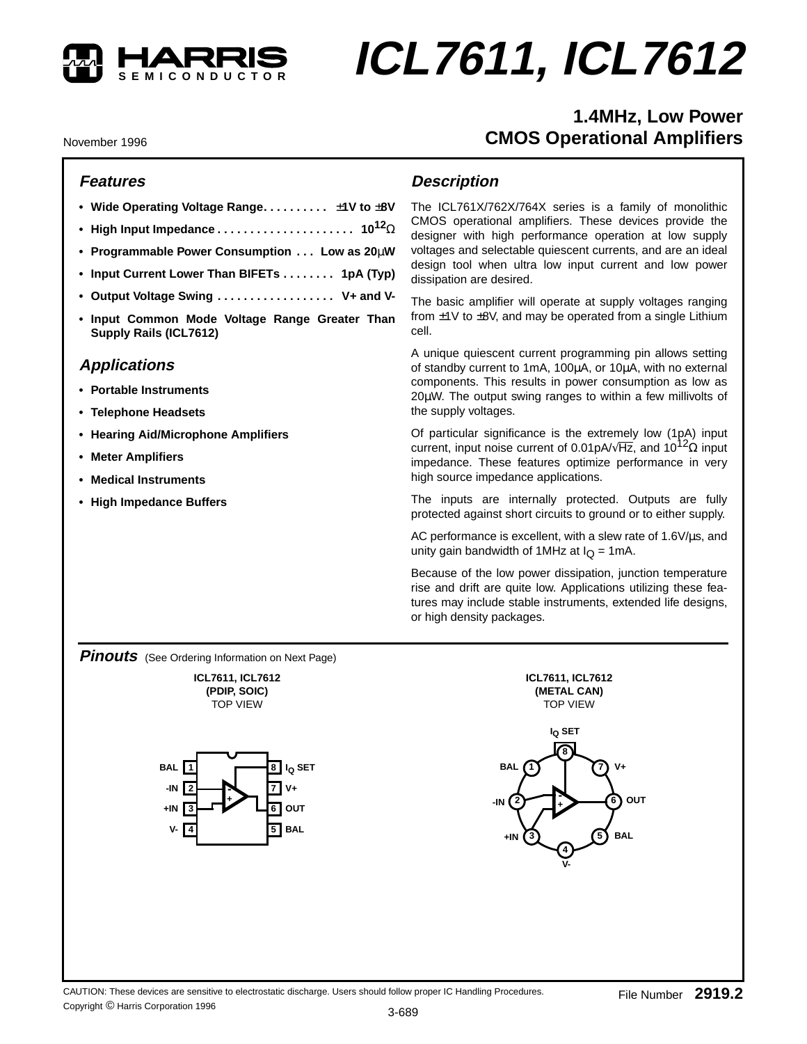

# **ICL7611, ICL7612**

# **1.4MHz, Low Power CMOS Operational Amplifiers**

November 1996

#### **Features**

- **Wide Operating Voltage Range. . . . . . . . . .** ±**1V to** ±**8V**
- **High Input Impedance . . . . . . . . . . . . . . . . . . . . . 1012**Ω
- **Programmable Power Consumption . . . Low as 20**µ**W**
- **Input Current Lower Than BIFETs . . . . . . . . 1pA (Typ)**
- **Output Voltage Swing . . . . . . . . . . . . . . . . . . V+ and V-**
- **Input Common Mode Voltage Range Greater Than Supply Rails (ICL7612)**

#### **Applications**

- **Portable Instruments**
- **Telephone Headsets**
- **Hearing Aid/Microphone Amplifiers**
- **Meter Amplifiers**
- **Medical Instruments**
- **High Impedance Buffers**

#### **Description**

The ICL761X/762X/764X series is a family of monolithic CMOS operational amplifiers. These devices provide the designer with high performance operation at low supply voltages and selectable quiescent currents, and are an ideal design tool when ultra low input current and low power dissipation are desired.

The basic amplifier will operate at supply voltages ranging from  $\pm$ 1V to  $\pm$ 8V, and may be operated from a single Lithium cell.

A unique quiescent current programming pin allows setting of standby current to 1mA, 100µA, or 10µA, with no external components. This results in power consumption as low as 20µW. The output swing ranges to within a few millivolts of the supply voltages.

Of particular significance is the extremely low (1pA) input current, input noise current of 0.01pA/ $\sqrt{Hz}$ , and 10<sup>12</sup> $\Omega$  input impedance. These features optimize performance in very high source impedance applications.

The inputs are internally protected. Outputs are fully protected against short circuits to ground or to either supply.

AC performance is excellent, with a slew rate of 1.6V/µs, and unity gain bandwidth of 1MHz at  $I<sub>O</sub> = 1$ mA.

Because of the low power dissipation, junction temperature rise and drift are quite low. Applications utilizing these features may include stable instruments, extended life designs, or high density packages.

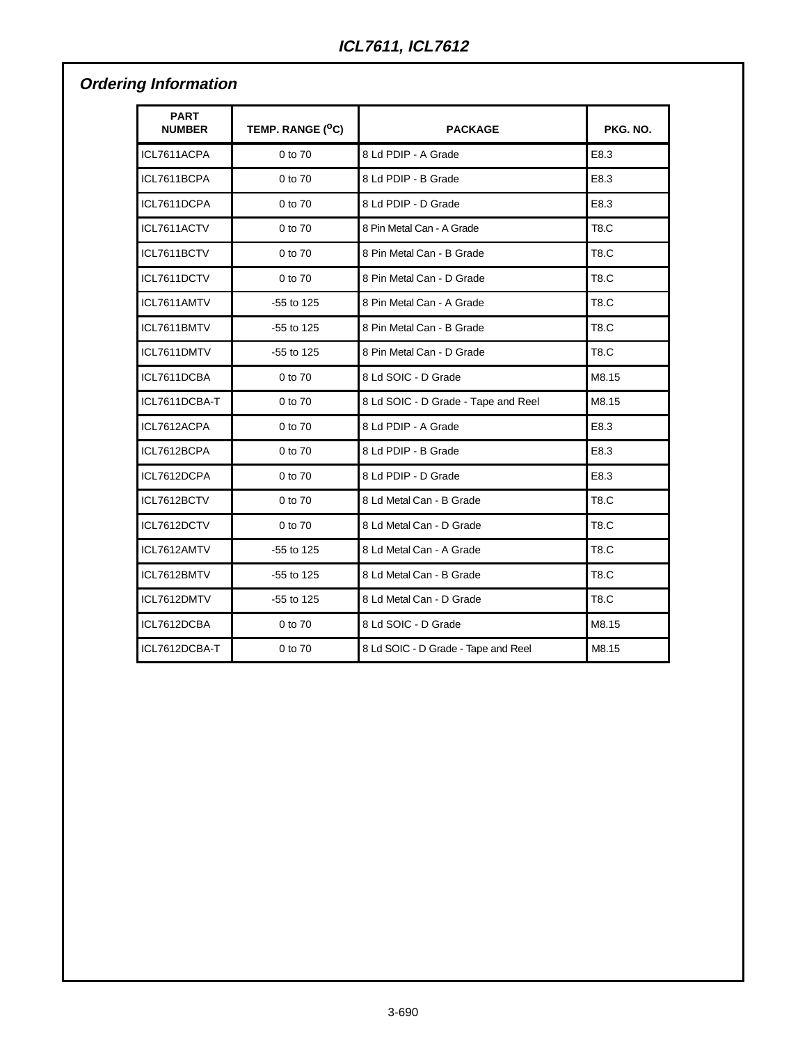# **Ordering Information**

| <b>PART</b><br><b>NUMBER</b> | TEMP. RANGE ( <sup>O</sup> C) | <b>PACKAGE</b>                      | PKG. NO.    |
|------------------------------|-------------------------------|-------------------------------------|-------------|
| ICL7611ACPA                  | 0 to 70                       | 8 Ld PDIP - A Grade                 | E8.3        |
| ICL7611BCPA                  | 0 to 70                       | 8 Ld PDIP - B Grade                 | E8.3        |
| ICL7611DCPA                  | 0 to 70                       | 8 Ld PDIP - D Grade                 | E8.3        |
| ICL7611ACTV                  | 0 to 70                       | 8 Pin Metal Can - A Grade           | <b>T8.C</b> |
| ICL7611BCTV                  | 0 to 70                       | 8 Pin Metal Can - B Grade           | <b>T8.C</b> |
| ICL7611DCTV                  | 0 to 70                       | 8 Pin Metal Can - D Grade           | <b>T8.C</b> |
| ICL7611AMTV                  | -55 to 125                    | 8 Pin Metal Can - A Grade           | <b>T8.C</b> |
| ICL7611BMTV                  | $-55$ to 125                  | 8 Pin Metal Can - B Grade           | <b>T8.C</b> |
| ICL7611DMTV                  | -55 to 125                    | 8 Pin Metal Can - D Grade           | T8.C        |
| ICL7611DCBA                  | 0 to 70                       | 8 Ld SOIC - D Grade                 | M8.15       |
| ICL7611DCBA-T                | 0 to 70                       | 8 Ld SOIC - D Grade - Tape and Reel | M8.15       |
| ICL7612ACPA                  | 0 to 70                       | 8 Ld PDIP - A Grade                 | E8.3        |
| ICL7612BCPA                  | 0 to 70                       | 8 Ld PDIP - B Grade                 | E8.3        |
| ICL7612DCPA                  | 0 to 70                       | 8 Ld PDIP - D Grade                 | E8.3        |
| ICL7612BCTV                  | 0 to 70                       | 8 Ld Metal Can - B Grade            | <b>T8.C</b> |
| ICL7612DCTV                  | 0 to 70                       | 8 Ld Metal Can - D Grade            | <b>T8.C</b> |
| ICL7612AMTV                  | $-55$ to 125                  | 8 Ld Metal Can - A Grade            | <b>T8.C</b> |
| ICL7612BMTV                  | -55 to 125                    | 8 Ld Metal Can - B Grade            | <b>T8.C</b> |
| ICL7612DMTV                  | -55 to 125                    | 8 Ld Metal Can - D Grade            | <b>T8.C</b> |
| ICL7612DCBA                  | 0 to 70                       | 8 Ld SOIC - D Grade                 | M8.15       |
| ICL7612DCBA-T                | 0 to 70                       | 8 Ld SOIC - D Grade - Tape and Reel | M8.15       |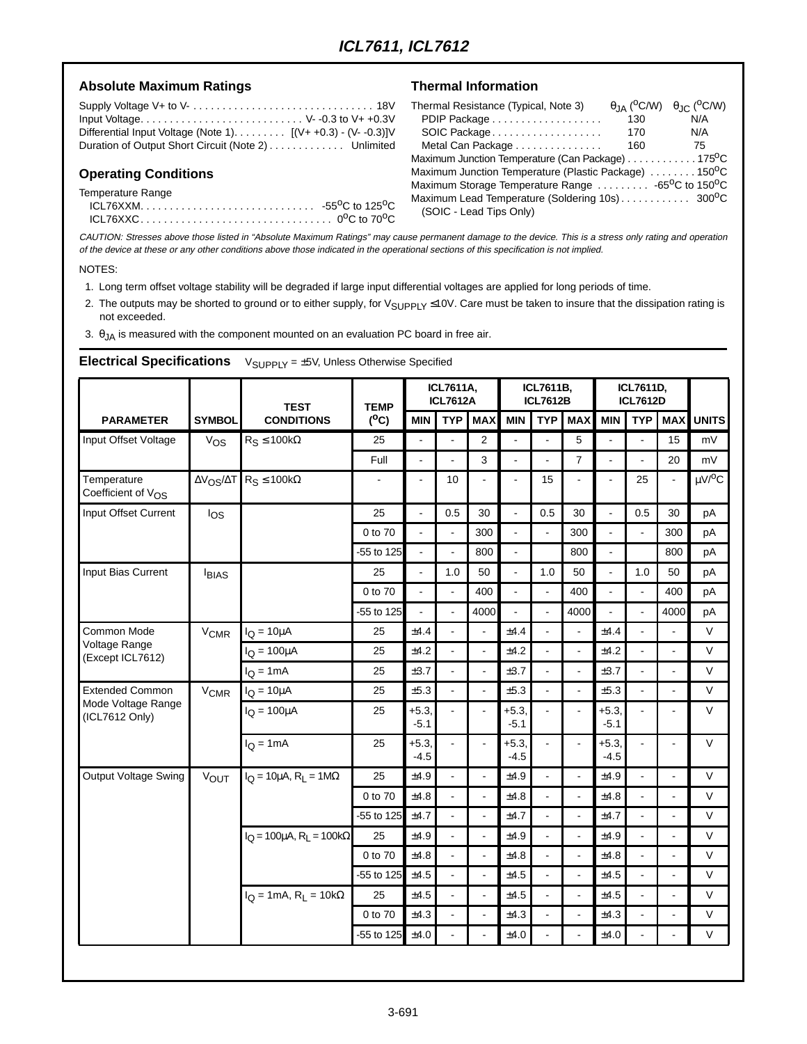#### Absolute Maximum Ratings **National Information**

| Input Voltage V--0.3 to V++0.3V                              |  |
|--------------------------------------------------------------|--|
| Differential Input Voltage (Note 1). $[(V++0.3) - (V-0.3)]V$ |  |
| Duration of Output Short Circuit (Note 2) Unlimited          |  |

#### **Operating Conditions**

Temperature Range

| -55 <sup>0</sup> C to 125 <sup>0</sup> C |
|------------------------------------------|
|                                          |

| Thermal Resistance (Typical, Note 3)                                        |     | $\theta_{JA}$ (°C/W) $\theta_{JC}$ (°C/W) |
|-----------------------------------------------------------------------------|-----|-------------------------------------------|
|                                                                             | 130 | N/A                                       |
| SOIC Package                                                                | 170 | N/A                                       |
| Metal Can Package                                                           | 160 | 75                                        |
| Maximum Junction Temperature (Can Package) 175 <sup>o</sup> C               |     |                                           |
| Maximum Junction Temperature (Plastic Package) 150 <sup>o</sup> C           |     |                                           |
| Maximum Storage Temperature Range  -65 <sup>o</sup> C to 150 <sup>o</sup> C |     |                                           |
|                                                                             |     |                                           |
| (SOIC - Lead Tips Only)                                                     |     |                                           |

CAUTION: Stresses above those listed in "Absolute Maximum Ratings" may cause permanent damage to the device. This is a stress only rating and operation of the device at these or any other conditions above those indicated in the operational sections of this specification is not implied.

#### NOTES:

- 1. Long term offset voltage stability will be degraded if large input differential voltages are applied for long periods of time.
- 2. The outputs may be shorted to ground or to either supply, for V<sub>SUPPLY</sub> ≤10V. Care must be taken to insure that the dissipation rating is not exceeded.

3.  $\theta$ <sub>JA</sub> is measured with the component mounted on an evaluation PC board in free air.

|                                               |                        | <b>TEST</b>                                                     | <b>TEMP</b>    |                   | <b>ICL7611A,</b><br><b>ICL7612A</b> |                |                          | ICL7611B,<br><b>ICL7612B</b> |                |                   | ICL7611D,<br><b>ICL7612D</b> |                |                                 |
|-----------------------------------------------|------------------------|-----------------------------------------------------------------|----------------|-------------------|-------------------------------------|----------------|--------------------------|------------------------------|----------------|-------------------|------------------------------|----------------|---------------------------------|
| <b>PARAMETER</b>                              | <b>SYMBOL</b>          | <b>CONDITIONS</b>                                               | $(^oC)$        | <b>MIN</b>        | <b>TYP</b>                          | <b>MAX</b>     | <b>MIN</b>               | <b>TYP</b>                   | <b>MAX</b>     | <b>MIN</b>        | <b>TYP</b>                   | <b>MAX</b>     | <b>UNITS</b>                    |
| Input Offset Voltage                          | $V_{OS}$               | $R_S \le 100k\Omega$                                            | 25             | ä,                | $\blacksquare$                      | 2              | $\blacksquare$           |                              | 5              | ÷,                | ÷,                           | 15             | mV                              |
|                                               |                        |                                                                 | Full           | $\overline{a}$    | L.                                  | 3              | $\overline{a}$           | ä,                           | $\overline{7}$ | L.                | L.                           | 20             | mV                              |
| Temperature<br>Coefficient of V <sub>OS</sub> |                        | $\Delta V_{OS}/\Delta T$ R <sub>S</sub> $\leq$ 100kΩ            | $\blacksquare$ | $\blacksquare$    | 10                                  |                | $\blacksquare$           | 15                           |                |                   | 25                           | $\blacksquare$ | $\mu$ V/ <sup>o</sup> C         |
| Input Offset Current                          | log                    |                                                                 | 25             | ä,                | 0.5                                 | 30             | $\blacksquare$           | 0.5                          | 30             | $\blacksquare$    | 0.5                          | 30             | pA                              |
|                                               |                        |                                                                 | 0 to 70        | $\overline{a}$    | ä,                                  | 300            | $\overline{a}$           | $\overline{a}$               | 300            | $\overline{a}$    | $\mathbf{r}$                 | 300            | pA                              |
|                                               |                        |                                                                 | -55 to 125     | $\blacksquare$    | ÷.                                  | 800            | $\overline{\phantom{a}}$ |                              | 800            | ÷.                |                              | 800            | рA                              |
| Input Bias Current                            | <b>IBIAS</b>           |                                                                 | 25             | $\sim$            | 1.0                                 | 50             | ÷,                       | 1.0                          | 50             | $\overline{a}$    | 1.0                          | 50             | pA                              |
|                                               |                        |                                                                 | 0 to 70        |                   |                                     | 400            | $\blacksquare$           |                              | 400            |                   |                              | 400            | pA                              |
|                                               |                        |                                                                 | -55 to 125     |                   | $\blacksquare$                      | 4000           | $\frac{1}{2}$            | $\blacksquare$               | 4000           | L.                | $\blacksquare$               | 4000           | pA                              |
| Common Mode                                   | <b>V<sub>CMR</sub></b> | $I_Q = 10 \mu A$                                                | 25             | ±4.4              |                                     |                | ±4.4                     |                              |                | ±4.4              |                              |                | $\vee$                          |
| Voltage Range<br>(Except ICL7612)             |                        | $I_Q = 100 \mu A$                                               | 25             | ±4.2              | $\overline{a}$                      | $\overline{a}$ | ±4.2                     | $\overline{a}$               | $\overline{a}$ | ±4.2              | L.                           | ä,             | $\vee$                          |
|                                               |                        | $I_Q = 1mA$                                                     | 25             | ±3.7              |                                     | ÷,             | ±3.7                     | $\overline{a}$               |                | ±3.7              |                              | $\overline{a}$ | V                               |
| <b>Extended Common</b>                        | <b>V<sub>CMR</sub></b> | $IO = 10µA$                                                     | 25             | ±5.3              | ÷,                                  | ÷,             | ±5.3                     | $\blacksquare$               |                | ±5.3              |                              | $\blacksquare$ | V                               |
| Mode Voltage Range<br>(ICL7612 Only)          |                        | $I_Q = 100 \mu A$                                               | 25             | $+5.3,$<br>$-5.1$ |                                     | $\blacksquare$ | $+5.3,$<br>$-5.1$        |                              |                | $+5.3,$<br>$-5.1$ |                              | $\blacksquare$ | $\vee$                          |
|                                               |                        | $IO = 1mA$                                                      | 25             | $+5.3,$<br>$-4.5$ |                                     | ÷,             | $+5.3,$<br>$-4.5$        | ÷.                           |                | $+5.3,$<br>$-4.5$ | $\overline{a}$               | $\blacksquare$ | $\vee$                          |
| <b>Output Voltage Swing</b>                   | <b>VOUT</b>            | $I_{\text{O}} = 10 \mu \text{A}$ , R <sub>L</sub> = 1M $\Omega$ | 25             | ±4.9              |                                     |                | ±4.9                     |                              |                | ±4.9              |                              | $\overline{a}$ | $\vee$                          |
|                                               |                        |                                                                 | 0 to 70        | ±4.8              | L.                                  | $\blacksquare$ | ±4.8                     | $\blacksquare$               |                | ±4.8              | $\overline{a}$               | $\blacksquare$ | V                               |
|                                               |                        |                                                                 | -55 to 125     | ±4.7              |                                     | $\blacksquare$ | ±4.7                     | $\blacksquare$               |                | ±4.7              | $\blacksquare$               | ä,             | $\vee$                          |
|                                               |                        | $I_{\rm O} = 100 \mu A$ , R <sub>L</sub> = 100kΩ                | 25             | ±4.9              | L.                                  |                | ±4.9                     | $\blacksquare$               |                | ±4.9              |                              | ä,             | V                               |
|                                               |                        |                                                                 | 0 to 70        | ±4.8              | L.                                  | $\mathbf{r}$   | ±4.8                     | $\blacksquare$               |                | ±4.8              | $\mathbf{r}$                 | $\overline{a}$ | $\vee$                          |
|                                               |                        |                                                                 | -55 to 125     | ±4.5              | ä,                                  | L.             | ±4.5                     | $\blacksquare$               |                | ±4.5              | $\overline{a}$               | ÷,             | V<br>$\vee$<br>$\vee$<br>$\vee$ |
|                                               |                        | $I_Q = 1 \text{mA}, R_L = 10 \text{k}\Omega$                    | 25             | ±4.5              |                                     | $\overline{a}$ | ±4.5                     | $\blacksquare$               |                | ±4.5              | $\overline{a}$               | $\blacksquare$ |                                 |
|                                               |                        |                                                                 | 0 to 70        | ±4.3              |                                     |                | ±4.3                     | ÷,                           |                | ±4.3              |                              | ÷,             |                                 |
|                                               |                        |                                                                 | -55 to 125     | ±4.0              |                                     |                | ±4.0                     | $\overline{a}$               |                | ±4.0              |                              | $\overline{a}$ |                                 |

**Electrical Specifications**  $V_{\text{SUPPIY}} = \pm 5V$ , Unless Otherwise Specified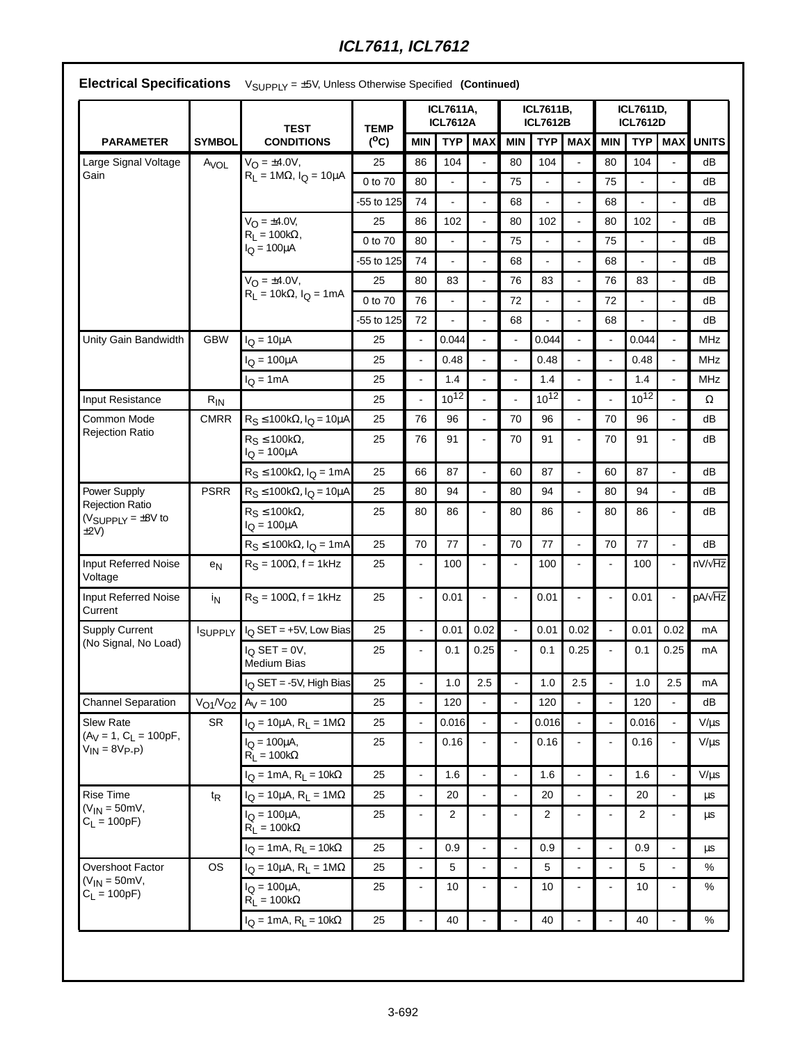|  | <b>Electrical Specifications</b> $V_{\text{SUPPLY}} = \pm 5V$ , Unless Otherwise Specified (Continued) |  |
|--|--------------------------------------------------------------------------------------------------------|--|
|--|--------------------------------------------------------------------------------------------------------|--|

|                                                                     |                  | <b>TEST</b>                                       | <b>TEMP</b> |                          | <b>ICL7611A,</b><br><b>ICL7612A</b> |                          |                | ICL7611B,<br><b>ICL7612B</b> |                          | ICL7611D,<br><b>ICL7612D</b> |                |                |                                                                                                                                                                                                                                                |
|---------------------------------------------------------------------|------------------|---------------------------------------------------|-------------|--------------------------|-------------------------------------|--------------------------|----------------|------------------------------|--------------------------|------------------------------|----------------|----------------|------------------------------------------------------------------------------------------------------------------------------------------------------------------------------------------------------------------------------------------------|
| <b>PARAMETER</b>                                                    | <b>SYMBOL</b>    | <b>CONDITIONS</b>                                 | $(^0C)$     | <b>MIN</b>               | <b>TYP</b>                          | <b>MAX</b>               | <b>MIN</b>     | <b>TYP</b>                   | <b>MAX</b>               | <b>MIN</b>                   | <b>TYP</b>     | <b>MAX</b>     | <b>UNITS</b>                                                                                                                                                                                                                                   |
| Large Signal Voltage                                                | A <sub>VOL</sub> | $V_{\Omega} = \pm 4.0 V$ ,                        | 25          | 86                       | 104                                 |                          | 80             | 104                          | $\blacksquare$           | 80                           | 104            |                | dB                                                                                                                                                                                                                                             |
| Gain                                                                |                  | $R_L = 1M\Omega$ , $I_Q = 10\mu A$                | 0 to 70     | 80                       |                                     | ÷,                       | 75             |                              | $\blacksquare$           | 75                           |                | ä,             | dB                                                                                                                                                                                                                                             |
|                                                                     |                  |                                                   | -55 to 125  | 74                       |                                     |                          | 68             |                              | ÷,                       | 68                           | ä,             |                | dB                                                                                                                                                                                                                                             |
|                                                                     |                  | $V_{O} = \pm 4.0 V,$                              | 25          | 86                       | 102                                 | ÷,                       | 80             | 102                          | $\overline{\phantom{a}}$ | 80                           | 102            | $\blacksquare$ | dB<br>dB<br>dB<br>dB<br>dB<br>dB<br><b>MHz</b><br>MHz<br>MHz<br>Ω<br>dB<br>dB<br>dB<br>dB<br>dB<br>dB<br>nV/ <sub>VHz</sub><br>pA/ $\sqrt{Hz}$<br>mA<br>mA<br>mA<br>dB<br>$V/\mu s$<br>$V/\mu s$<br>$V/\mu s$<br>μs<br>$\mu s$<br>μs<br>%<br>℅ |
|                                                                     |                  | $R_1 = 100k\Omega,$<br>$IO = 100µA$               | 0 to 70     | 80                       |                                     | $\overline{a}$           | 75             |                              | $\overline{\phantom{a}}$ | 75                           | L.             | $\overline{a}$ |                                                                                                                                                                                                                                                |
|                                                                     |                  |                                                   | -55 to 125  | 74                       |                                     | $\overline{a}$           | 68             |                              | $\mathbf{r}$             | 68                           | $\overline{a}$ | $\blacksquare$ |                                                                                                                                                                                                                                                |
|                                                                     |                  | $V_{O} = \pm 4.0 V,$                              | 25          | 80                       | 83                                  | ÷,                       | 76             | 83                           |                          | 76                           | 83             |                |                                                                                                                                                                                                                                                |
|                                                                     |                  | $R_L = 10k\Omega$ , $I_Q = 1mA$                   | 0 to 70     | 76                       |                                     | ÷,                       | 72             |                              | $\blacksquare$           | 72                           | $\overline{a}$ | $\blacksquare$ |                                                                                                                                                                                                                                                |
|                                                                     |                  |                                                   | -55 to 125  | 72                       |                                     | $\overline{a}$           | 68             |                              | ÷.                       | 68                           | $\overline{a}$ | $\overline{a}$ |                                                                                                                                                                                                                                                |
| Unity Gain Bandwidth                                                | <b>GBW</b>       | $I_Q = 10 \mu A$                                  | 25          | $\overline{\phantom{a}}$ | 0.044                               | $\ddot{\phantom{a}}$     | $\blacksquare$ | 0.044                        | $\overline{a}$           |                              | 0.044          | $\blacksquare$ |                                                                                                                                                                                                                                                |
|                                                                     |                  | $I_{\rm O} = 100 \mu A$                           | 25          | $\blacksquare$           | 0.48                                | ÷,                       | $\blacksquare$ | 0.48                         |                          |                              | 0.48           |                |                                                                                                                                                                                                                                                |
|                                                                     |                  | $I_Q = 1mA$                                       | 25          | $\omega$                 | 1.4                                 | ÷,                       | $\blacksquare$ | 1.4                          | $\overline{\phantom{a}}$ | $\blacksquare$               | 1.4            | $\blacksquare$ |                                                                                                                                                                                                                                                |
| Input Resistance                                                    | $R_{IN}$         |                                                   | 25          | $\overline{\phantom{a}}$ | $10^{12}$                           | $\overline{a}$           | $\sim$         | $10^{12}$                    | $\mathbf{r}$             |                              | $10^{12}$      | $\overline{a}$ |                                                                                                                                                                                                                                                |
| Common Mode                                                         | <b>CMRR</b>      | $R_S \le 100k\Omega$ , $I_Q = 10\mu A$            | 25          | 76                       | 96                                  | $\ddot{\phantom{a}}$     | 70             | 96                           | $\blacksquare$           | 70                           | 96             | $\blacksquare$ |                                                                                                                                                                                                                                                |
| <b>Rejection Ratio</b>                                              |                  | $R_S \le 100k\Omega$ ,<br>$I_Q = 100 \mu A$       | 25          | 76                       | 91                                  | $\blacksquare$           | 70             | 91                           |                          | 70                           | 91             | ä,             |                                                                                                                                                                                                                                                |
|                                                                     |                  | $R_S \le 100k\Omega$ , $I_Q = 1mA$                | 25          | 66                       | 87                                  | $\overline{a}$           | 60             | 87                           | $\overline{a}$           | 60                           | 87             | ÷,             |                                                                                                                                                                                                                                                |
| Power Supply                                                        | <b>PSRR</b>      | $R_S \le 100k\Omega$ , $I_Q = 10\mu A$            | 25          | 80                       | 94                                  | $\overline{a}$           | 80             | 94                           |                          | 80                           | 94             | $\blacksquare$ |                                                                                                                                                                                                                                                |
| <b>Rejection Ratio</b><br>( $V_{\text{SUPPLY}} = \pm 8V$ to<br>±2V) |                  | $R_S \le 100k\Omega$ ,<br>$I_{\rm Q} = 100 \mu A$ | 25          | 80                       | 86                                  | $\blacksquare$           | 80             | 86                           | ÷,                       | 80                           | 86             | $\blacksquare$ |                                                                                                                                                                                                                                                |
|                                                                     |                  | $R_S \le 100k\Omega$ , $I_Q = 1mA$                | 25          | 70                       | 77                                  | ÷,                       | 70             | 77                           | $\blacksquare$           | 70                           | 77             | $\blacksquare$ |                                                                                                                                                                                                                                                |
| <b>Input Referred Noise</b><br>Voltage                              | e <sub>N</sub>   | $R_S = 100\Omega$ , f = 1kHz                      | 25          | $\blacksquare$           | 100                                 | L,                       |                | 100                          |                          |                              | 100            | $\blacksquare$ |                                                                                                                                                                                                                                                |
| <b>Input Referred Noise</b><br>Current                              | İN               | $RS = 100\Omega$ , f = 1kHz                       | 25          | ä,                       | 0.01                                | ÷,                       | $\blacksquare$ | 0.01                         | ÷,                       | $\blacksquare$               | 0.01           | $\blacksquare$ |                                                                                                                                                                                                                                                |
| <b>Supply Current</b>                                               | ISUPPLY          | $IO$ SET = +5V, Low Bias                          | 25          | L.                       | 0.01                                | 0.02                     | $\blacksquare$ | 0.01                         | 0.02                     | $\overline{\phantom{a}}$     | 0.01           | 0.02           |                                                                                                                                                                                                                                                |
| (No Signal, No Load)                                                |                  | $I_{\Omega}$ SET = 0V,<br><b>Medium Bias</b>      | 25          | $\blacksquare$           | 0.1                                 | 0.25                     |                | 0.1                          | 0.25                     |                              | 0.1            | 0.25           |                                                                                                                                                                                                                                                |
|                                                                     |                  | I <sub>Q</sub> SET = -5V, High Bias               | 25          |                          | 1.0                                 | 2.5                      |                | $1.0\,$                      | 2.5                      |                              | $1.0\,$        | 2.5            |                                                                                                                                                                                                                                                |
| <b>Channel Separation</b>                                           |                  | $V_{O1}/V_{O2}$ $A_V = 100$                       | 25          | $\blacksquare$           | 120                                 | $\blacksquare$           | $\blacksquare$ | 120                          | $\blacksquare$           | $\overline{\phantom{a}}$     | 120            | $\blacksquare$ |                                                                                                                                                                                                                                                |
| <b>Slew Rate</b>                                                    | <b>SR</b>        | $I_Q = 10 \mu A$ , $R_L = 1 M \Omega$             | 25          | $\blacksquare$           | 0.016                               | $\blacksquare$           | $\blacksquare$ | 0.016                        |                          |                              | 0.016          | $\blacksquare$ |                                                                                                                                                                                                                                                |
| $(A_V = 1, C_L = 100pF,$<br>$V_{IN} = 8V_{P-P}$                     |                  | $I_{\rm O} = 100 \mu A$ ,<br>$R_L = 100k\Omega$   | 25          | $\blacksquare$           | 0.16                                | $\blacksquare$           | $\blacksquare$ | 0.16                         |                          | $\blacksquare$               | 0.16           | $\frac{1}{2}$  |                                                                                                                                                                                                                                                |
|                                                                     |                  | $I_Q = 1mA$ , $R_L = 10k\Omega$                   | 25          | $\omega$                 | 1.6                                 | $\overline{\phantom{a}}$ | $\blacksquare$ | 1.6                          | $\blacksquare$           | $\mathbf{r}$                 | 1.6            | $\blacksquare$ |                                                                                                                                                                                                                                                |
| <b>Rise Time</b>                                                    | t <sub>R</sub>   | $I_Q = 10 \mu A$ , $R_L = 1 M \Omega$             | 25          | $\blacksquare$           | 20                                  | $\blacksquare$           | $\blacksquare$ | 20                           | ÷,                       | $\blacksquare$               | 20             |                |                                                                                                                                                                                                                                                |
| $(V_{IN} = 50mV,$<br>$C_L = 100pF$                                  |                  | $I_{\Omega} = 100 \mu A$ ,<br>$R_L = 100k\Omega$  | 25          | $\blacksquare$           | $\overline{2}$                      | ÷,                       | ÷,             | 2                            | $\blacksquare$           | $\blacksquare$               | $\overline{2}$ | $\blacksquare$ |                                                                                                                                                                                                                                                |
|                                                                     |                  | $I_{\Omega}$ = 1mA, R <sub>I</sub> = 10k $\Omega$ | 25          | $\omega$                 | 0.9                                 | $\blacksquare$           | $\blacksquare$ | 0.9                          | $\blacksquare$           | $\mathbf{r}$                 | 0.9            | $\blacksquare$ |                                                                                                                                                                                                                                                |
| Overshoot Factor                                                    | <b>OS</b>        | $I_Q = 10 \mu A$ , $R_L = 1 M \Omega$             | 25          | $\blacksquare$           | 5                                   | $\blacksquare$           | $\blacksquare$ | 5                            | $\blacksquare$           | $\overline{\phantom{a}}$     | 5              | $\blacksquare$ |                                                                                                                                                                                                                                                |
| $(V_{IN} = 50mV,$<br>$C_L = 100pF$                                  |                  | $I_{\rm O} = 100 \mu A$ ,<br>$R_L = 100k\Omega$   | 25          | $\blacksquare$           | 10                                  | $\blacksquare$           |                | 10                           | $\overline{a}$           | $\blacksquare$               | 10             | $\blacksquare$ |                                                                                                                                                                                                                                                |
|                                                                     |                  | $I_Q = 1mA$ , $R_L = 10k\Omega$                   | 25          |                          | 40                                  |                          |                | 40                           |                          |                              | 40             |                | $\%$                                                                                                                                                                                                                                           |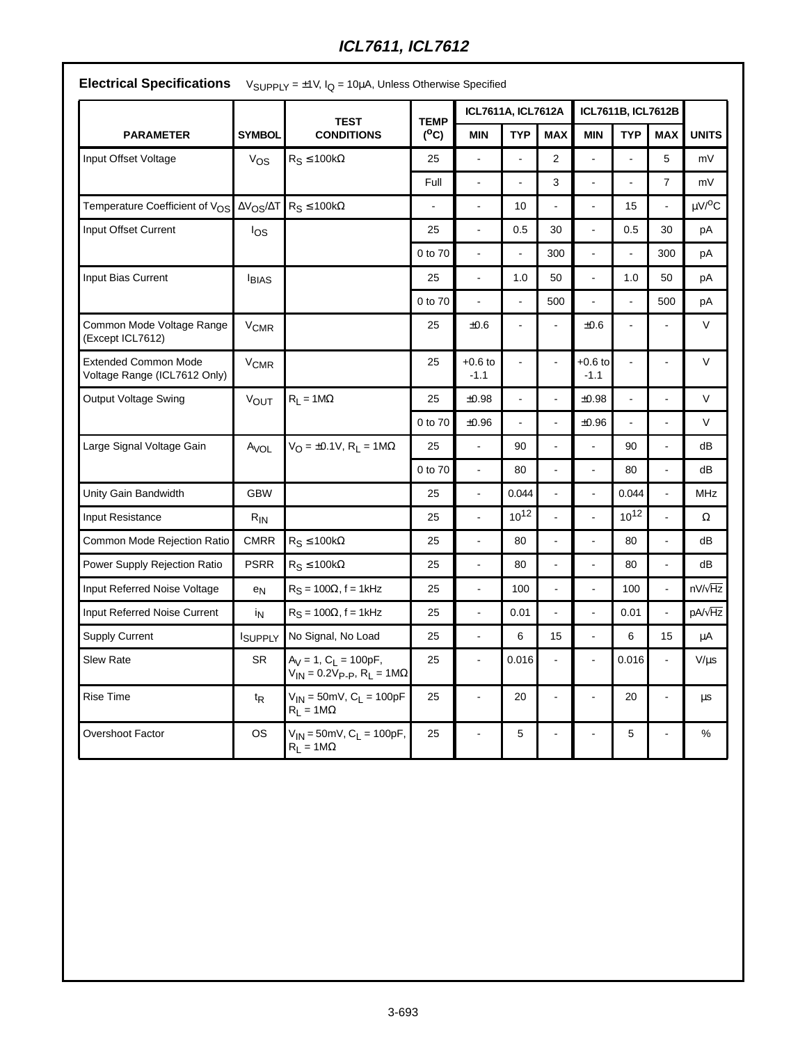|                                                             |                        | <b>TEST</b>                                                                         | <b>TEMP</b>              | ICL7611A, ICL7612A       |                          |                |                     | ICL7611B, ICL7612B |                      |                         |
|-------------------------------------------------------------|------------------------|-------------------------------------------------------------------------------------|--------------------------|--------------------------|--------------------------|----------------|---------------------|--------------------|----------------------|-------------------------|
| <b>PARAMETER</b>                                            | <b>SYMBOL</b>          | <b>CONDITIONS</b>                                                                   | $(^0C)$                  | <b>MIN</b>               | <b>TYP</b>               | <b>MAX</b>     | <b>MIN</b>          | <b>TYP</b>         | <b>MAX</b>           | <b>UNITS</b>            |
| Input Offset Voltage                                        | $V_{OS}$               | $R_S \le 100k\Omega$                                                                | 25                       |                          |                          | 2              |                     |                    | 5                    | mV                      |
|                                                             |                        |                                                                                     | Full                     | $\overline{\phantom{a}}$ | $\overline{a}$           | 3              | L.                  | $\overline{a}$     | $\overline{7}$       | mV                      |
| Temperature Coefficient of V <sub>OS</sub>                  |                        | $\Delta V_{OS}/\Delta T$ R <sub>S</sub> $\leq$ 100kΩ                                | $\overline{\phantom{a}}$ | ÷,                       | 10                       | L.             | L.                  | 15                 | $\ddot{\phantom{a}}$ | $\mu$ V/ <sup>o</sup> C |
| Input Offset Current                                        | los                    |                                                                                     | 25                       | $\overline{a}$           | 0.5                      | 30             | $\overline{a}$      | 0.5                | 30                   | pA                      |
|                                                             |                        |                                                                                     | 0 to 70                  | $\overline{\phantom{a}}$ | $\blacksquare$           | 300            | L,                  | $\frac{1}{2}$      | 300                  | pA                      |
| Input Bias Current                                          | <b>BIAS</b>            |                                                                                     | 25                       | $\ddot{\phantom{a}}$     | 1.0                      | 50             | $\blacksquare$      | 1.0                | 50                   | pA                      |
|                                                             |                        |                                                                                     | 0 to 70                  | $\overline{a}$           | $\overline{\phantom{a}}$ | 500            | $\overline{a}$      | L,                 | 500                  | pA                      |
| Common Mode Voltage Range<br>(Except ICL7612)               | <b>V<sub>CMR</sub></b> |                                                                                     | 25                       | $\pm 0.6$                | $\blacksquare$           |                | $\pm 0.6$           |                    |                      | V                       |
| <b>Extended Common Mode</b><br>Voltage Range (ICL7612 Only) | <b>V<sub>CMR</sub></b> |                                                                                     | 25                       | $+0.6$ to<br>$-1.1$      | $\blacksquare$           |                | $+0.6$ to<br>$-1.1$ |                    |                      | V                       |
| Output Voltage Swing                                        | <b>VOUT</b>            | $R_L = 1M\Omega$                                                                    | 25                       | ±0.98                    | $\blacksquare$           | $\overline{a}$ | ±0.98               |                    | $\overline{a}$       | $\vee$                  |
|                                                             |                        |                                                                                     | 0 to 70                  | $\pm 0.96$               |                          |                | $\pm 0.96$          |                    |                      | $\vee$                  |
| Large Signal Voltage Gain                                   | $A_{VOL}$              | $V_{\text{O}} = \pm 0.1 V$ , R <sub>L</sub> = 1M $\Omega$                           | 25                       | $\overline{a}$           | 90                       | $\overline{a}$ | $\overline{a}$      | 90                 | $\overline{a}$       | dB                      |
|                                                             |                        |                                                                                     | 0 to 70                  | $\blacksquare$           | 80                       | $\blacksquare$ | $\overline{a}$      | 80                 | ÷,                   | dB                      |
| Unity Gain Bandwidth                                        | <b>GBW</b>             |                                                                                     | 25                       |                          | 0.044                    |                |                     | 0.044              |                      | MHz                     |
| Input Resistance                                            | $R_{IN}$               |                                                                                     | 25                       | $\overline{a}$           | $10^{12}$                | ÷,             | $\overline{a}$      | $10^{12}$          | $\overline{a}$       | Ω                       |
| Common Mode Rejection Ratio                                 | <b>CMRR</b>            | $R_S \le 100k\Omega$                                                                | 25                       | $\overline{a}$           | 80                       |                | $\overline{a}$      | 80                 | $\overline{a}$       | dB                      |
| Power Supply Rejection Ratio                                | <b>PSRR</b>            | $R_S \le 100k\Omega$                                                                | 25                       | ÷,                       | 80                       |                |                     | 80                 |                      | dB                      |
| Input Referred Noise Voltage                                | $e_N$                  | $R_S = 100\Omega$ , f = 1kHz                                                        | 25                       | $\overline{a}$           | 100                      | L.             |                     | 100                | $\overline{a}$       | $nV/\sqrt{Hz}$          |
| Input Referred Noise Current                                | İN                     | $R_S = 100\Omega$ , f = 1kHz                                                        | 25                       | L,                       | 0.01                     |                | $\overline{a}$      | 0.01               |                      | pA/ $\sqrt{Hz}$         |
| <b>Supply Current</b>                                       | ISUPPLY                | No Signal, No Load                                                                  | 25                       | $\overline{a}$           | 6                        | 15             | L.                  | 6                  | 15                   | μA                      |
| <b>Slew Rate</b>                                            | <b>SR</b>              | $A_V = 1$ , $C_L = 100pF$ ,<br>$V_{IN} = 0.2V_{P-P}$ , R <sub>L</sub> = 1M $\Omega$ | 25                       | $\overline{a}$           | 0.016                    |                |                     | 0.016              | ÷,                   | $V/\mu s$               |
| Rise Time                                                   | $t_{\mathsf{R}}$       | $V_{IN} = 50$ mV, C <sub>L</sub> = 100pF<br>$R_L = 1 M\Omega$                       | 25                       | $\overline{a}$           | 20                       | $\overline{a}$ |                     | 20                 | $\overline{a}$       | μs                      |
| Overshoot Factor                                            | <b>OS</b>              | $V_{IN} = 50$ mV, C <sub>L</sub> = 100pF,<br>$R_L = 1 M\Omega$                      | 25                       |                          | 5                        | L,             |                     | 5                  |                      | %                       |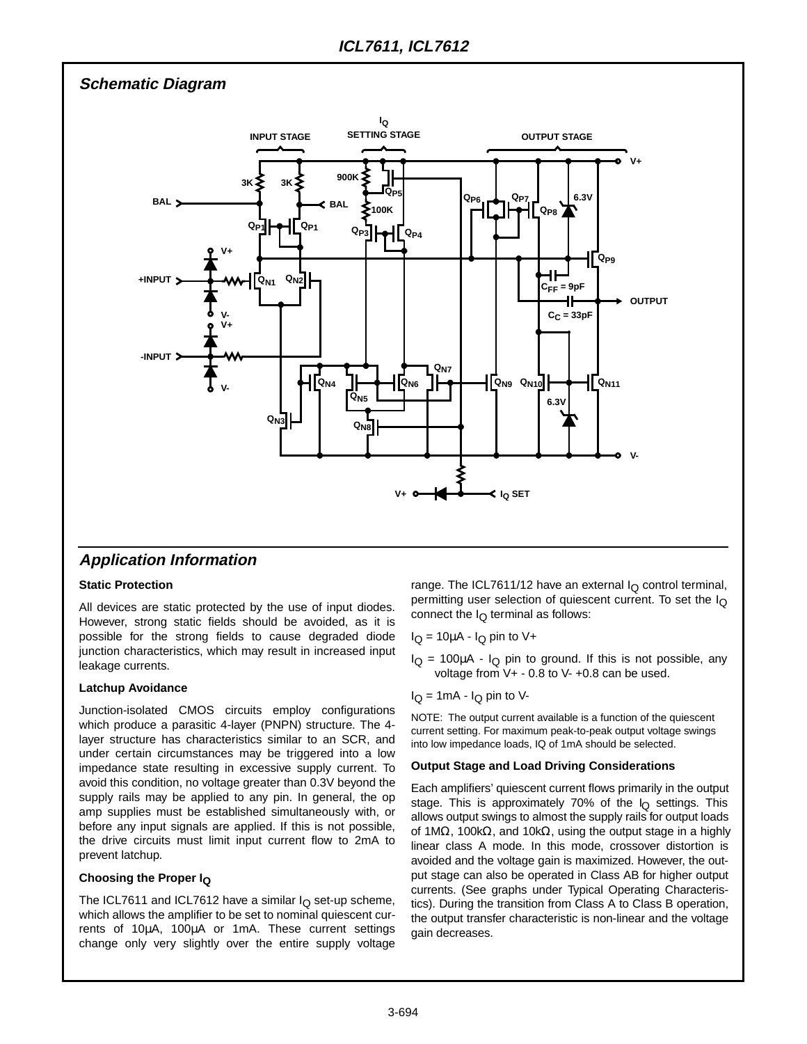**Schematic Diagram**



### **Application Information**

#### **Static Protection**

All devices are static protected by the use of input diodes. However, strong static fields should be avoided, as it is possible for the strong fields to cause degraded diode junction characteristics, which may result in increased input leakage currents.

#### **Latchup Avoidance**

Junction-isolated CMOS circuits employ configurations which produce a parasitic 4-layer (PNPN) structure. The 4 layer structure has characteristics similar to an SCR, and under certain circumstances may be triggered into a low impedance state resulting in excessive supply current. To avoid this condition, no voltage greater than 0.3V beyond the supply rails may be applied to any pin. In general, the op amp supplies must be established simultaneously with, or before any input signals are applied. If this is not possible, the drive circuits must limit input current flow to 2mA to prevent latchup.

#### **Choosing the Proper IQ**

The ICL7611 and ICL7612 have a similar  $I<sub>O</sub>$  set-up scheme, which allows the amplifier to be set to nominal quiescent currents of 10µA, 100µA or 1mA. These current settings change only very slightly over the entire supply voltage range. The ICL7611/12 have an external  $I_Q$  control terminal, permitting user selection of quiescent current. To set the I<sub>Q</sub> connect the  $I_{\Omega}$  terminal as follows:

- $I_Q = 10\mu A I_Q$  pin to V+
- $I_Q$  = 100 $\mu$ A  $I_Q$  pin to ground. If this is not possible, any voltage from V+ - 0.8 to V- +0.8 can be used.
- $I_Q = 1 \text{mA} I_Q$  pin to V-

NOTE: The output current available is a function of the quiescent current setting. For maximum peak-to-peak output voltage swings into low impedance loads, IQ of 1mA should be selected.

#### **Output Stage and Load Driving Considerations**

Each amplifiers' quiescent current flows primarily in the output stage. This is approximately 70% of the  $I<sub>O</sub>$  settings. This allows output swings to almost the supply rails for output loads of 1MΩ, 100kΩ, and 10kΩ, using the output stage in a highly linear class A mode. In this mode, crossover distortion is avoided and the voltage gain is maximized. However, the output stage can also be operated in Class AB for higher output currents. (See graphs under Typical Operating Characteristics). During the transition from Class A to Class B operation, the output transfer characteristic is non-linear and the voltage gain decreases.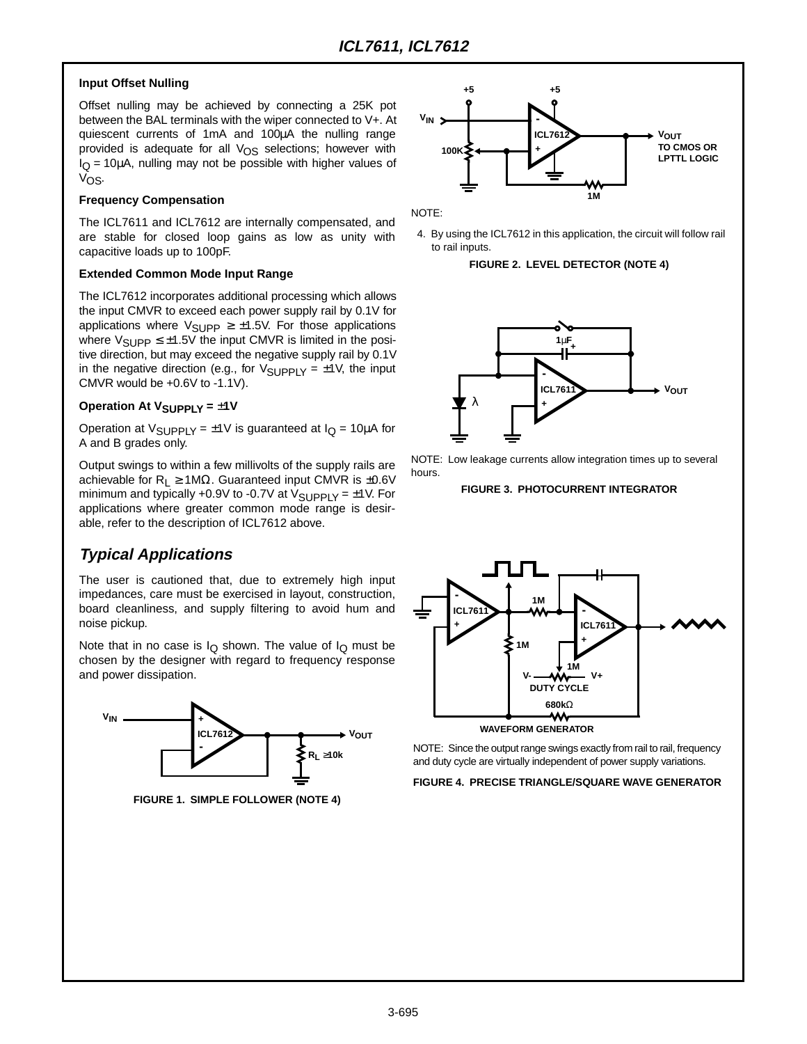#### **Input Offset Nulling**

Offset nulling may be achieved by connecting a 25K pot between the BAL terminals with the wiper connected to V+. At quiescent currents of 1mA and 100µA the nulling range provided is adequate for all  $V_{OS}$  selections; however with  $I<sub>O</sub>$  = 10 $\mu$ A, nulling may not be possible with higher values of V<sub>OS</sub>.

#### **Frequency Compensation**

The ICL7611 and ICL7612 are internally compensated, and are stable for closed loop gains as low as unity with capacitive loads up to 100pF.

#### **Extended Common Mode Input Range**

The ICL7612 incorporates additional processing which allows the input CMVR to exceed each power supply rail by 0.1V for applications where  $V_{\text{SUPP}} \geq \pm 1.5V$ . For those applications where  $V_{\text{SUPP}} \leq \pm 1.5V$  the input CMVR is limited in the positive direction, but may exceed the negative supply rail by 0.1V in the negative direction (e.g., for  $V_{\text{SUPPLY}} = \pm 1V$ , the input CMVR would be +0.6V to -1.1V).

#### **Operation At V<sub>SUPPLY</sub> = ±1V**

Operation at  $V_{\text{SUPPLY}} = \pm 1 \text{V}$  is guaranteed at  $I_{\text{Q}} = 10 \mu \text{A}$  for A and B grades only.

Output swings to within a few millivolts of the supply rails are achievable for R<sub>L</sub>  $\geq$  1MΩ. Guaranteed input CMVR is ±0.6V minimum and typically +0.9V to -0.7V at  $V_{\text{SUPPLY}} = \pm 1 \text{V}$ . For applications where greater common mode range is desirable, refer to the description of ICL7612 above.

## **Typical Applications**

The user is cautioned that, due to extremely high input impedances, care must be exercised in layout, construction, board cleanliness, and supply filtering to avoid hum and noise pickup.

Note that in no case is  $I_{\Omega}$  shown. The value of  $I_{\Omega}$  must be chosen by the designer with regard to frequency response and power dissipation.



**FIGURE 1. SIMPLE FOLLOWER (NOTE 4)**



NOTE:

4. By using the ICL7612 in this application, the circuit will follow rail to rail inputs.

#### **FIGURE 2. LEVEL DETECTOR (NOTE 4)**



NOTE: Low leakage currents allow integration times up to several hours.

#### **FIGURE 3. PHOTOCURRENT INTEGRATOR**



**WAVEFORM GENERATOR**

NOTE: Since the output range swings exactly from rail to rail, frequency and duty cycle are virtually independent of power supply variations.

**FIGURE 4. PRECISE TRIANGLE/SQUARE WAVE GENERATOR**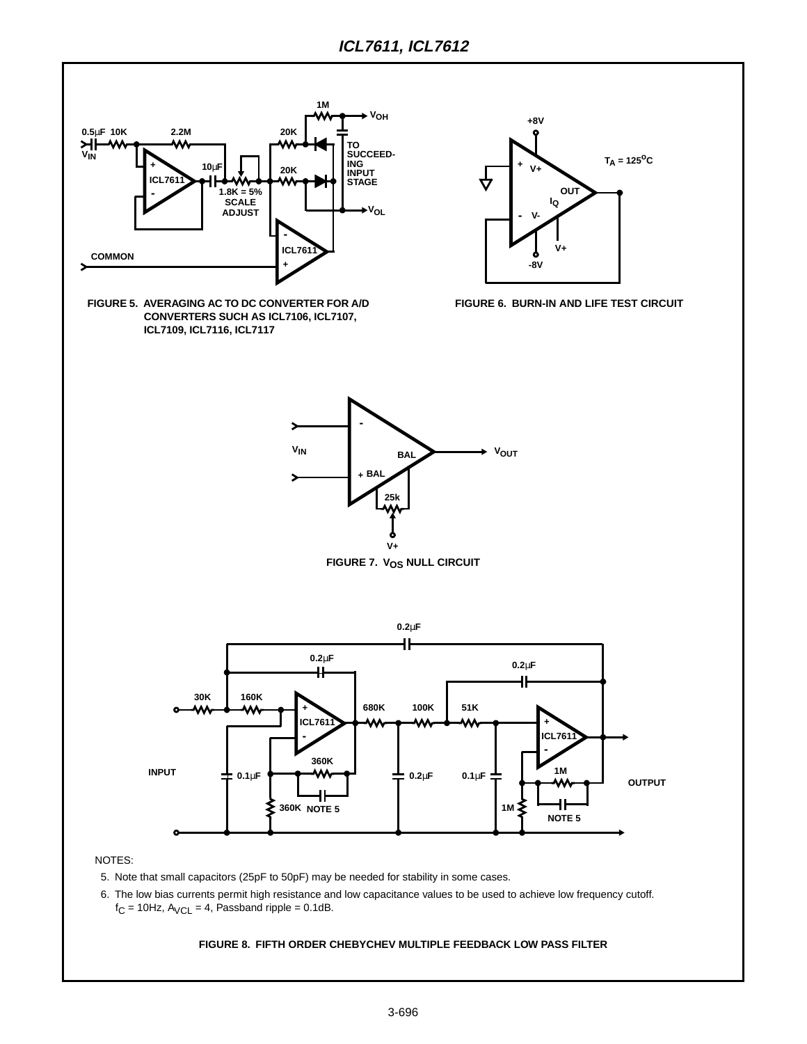

- 5. Note that small capacitors (25pF to 50pF) may be needed for stability in some cases.
- 6. The low bias currents permit high resistance and low capacitance values to be used to achieve low frequency cutoff.  $f_C = 10$ Hz,  $A_{VCL} = 4$ , Passband ripple = 0.1dB.

#### **FIGURE 8. FIFTH ORDER CHEBYCHEV MULTIPLE FEEDBACK LOW PASS FILTER**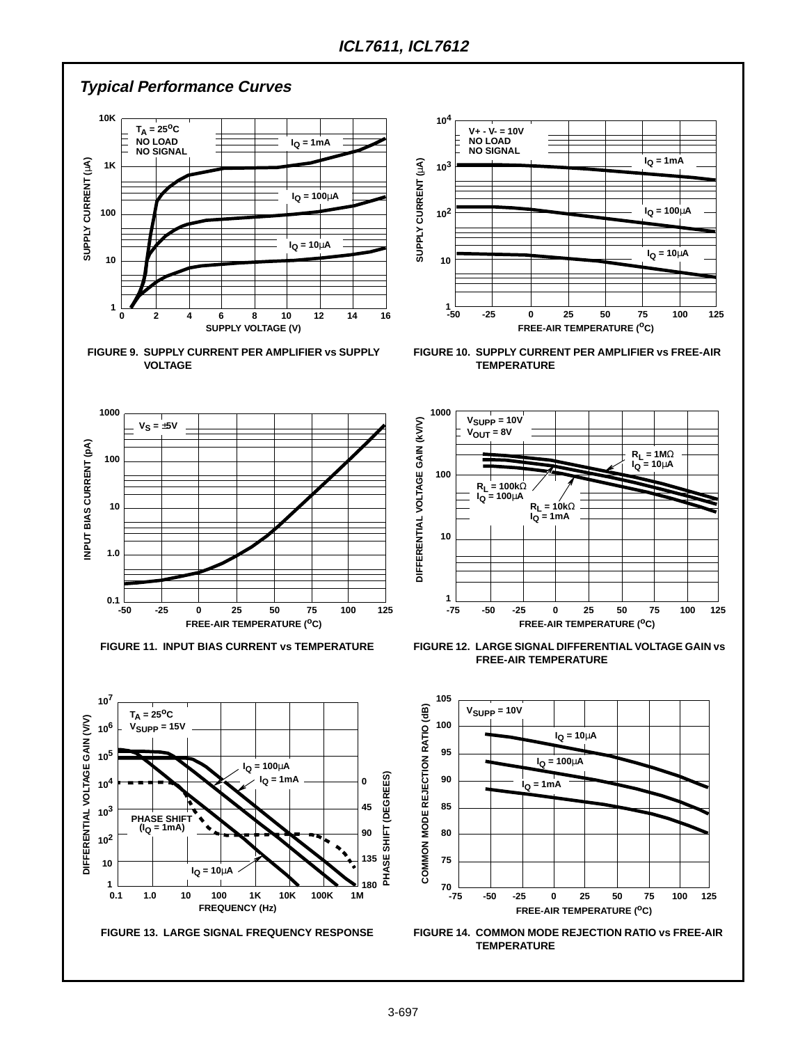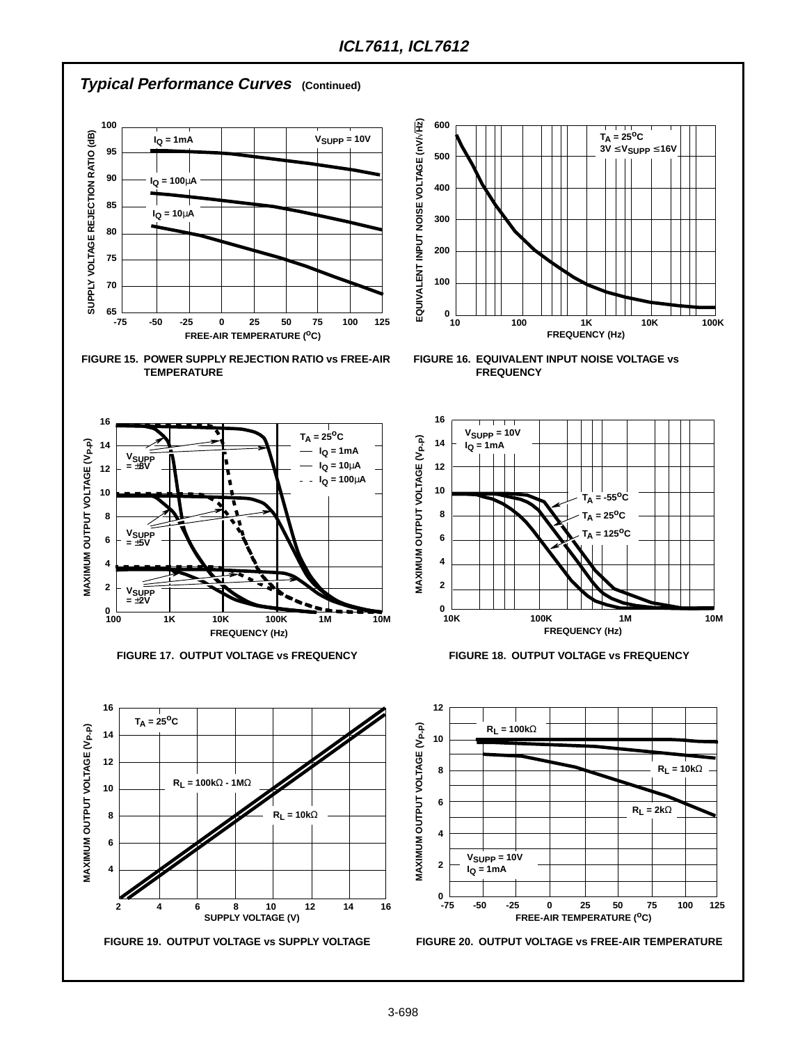